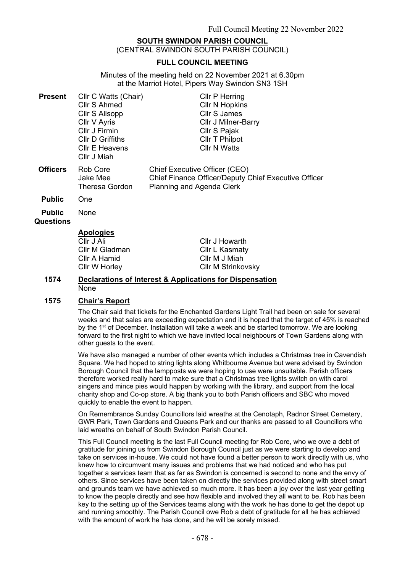# **SOUTH SWINDON PARISH COUNCIL**

(CENTRAL SWINDON SOUTH PARISH COUNCIL)

# **FULL COUNCIL MEETING**

Minutes of the meeting held on 22 November 2021 at 6.30pm at the Marriot Hotel, Pipers Way Swindon SN3 1SH

| <b>Present</b>             | Cllr C Watts (Chair)                          | <b>CIIr P Herring</b>                                                                                                     |
|----------------------------|-----------------------------------------------|---------------------------------------------------------------------------------------------------------------------------|
|                            | Cllr S Ahmed                                  | <b>CIIr N Hopkins</b>                                                                                                     |
|                            | Cllr S Allsopp                                | Cllr S James                                                                                                              |
|                            | Cllr V Ayris                                  | <b>CIIr J Milner-Barry</b>                                                                                                |
|                            | Cllr J Firmin                                 | Cllr S Pajak                                                                                                              |
|                            | <b>CIIr D Griffiths</b>                       | Cllr T Philpot                                                                                                            |
|                            | <b>CIIr E Heavens</b><br>Cllr J Miah          | Cllr N Watts                                                                                                              |
| <b>Officers</b>            | Rob Core<br>Jake Mee<br><b>Theresa Gordon</b> | Chief Executive Officer (CEO)<br>Chief Finance Officer/Deputy Chief Executive Officer<br><b>Planning and Agenda Clerk</b> |
| <b>Public</b>              | One                                           |                                                                                                                           |
| <b>Public</b><br>Questions | None                                          |                                                                                                                           |
|                            | <b>Apologies</b>                              |                                                                                                                           |
|                            | Cllr J Ali                                    | Cllr J Howarth                                                                                                            |
|                            | Cllr M Gladman                                | Cllr L Kasmaty                                                                                                            |
|                            | Cllr A Hamid                                  | CIIr M J Miah                                                                                                             |

#### **1574 Declarations of Interest & Applications for Dispensation** None

#### **1575 Chair's Report**

Cllr W Horley

The Chair said that tickets for the Enchanted Gardens Light Trail had been on sale for several weeks and that sales are exceeding expectation and it is hoped that the target of 45% is reached by the 1<sup>st</sup> of December. Installation will take a week and be started tomorrow. We are looking forward to the first night to which we have invited local neighbours of Town Gardens along with other guests to the event.

Cllr M Strinkovsky

We have also managed a number of other events which includes a Christmas tree in Cavendish Square. We had hoped to string lights along Whitbourne Avenue but were advised by Swindon Borough Council that the lampposts we were hoping to use were unsuitable. Parish officers therefore worked really hard to make sure that a Christmas tree lights switch on with carol singers and mince pies would happen by working with the library, and support from the local charity shop and Co-op store. A big thank you to both Parish officers and SBC who moved quickly to enable the event to happen.

On Remembrance Sunday Councillors laid wreaths at the Cenotaph, Radnor Street Cemetery, GWR Park, Town Gardens and Queens Park and our thanks are passed to all Councillors who laid wreaths on behalf of South Swindon Parish Council.

This Full Council meeting is the last Full Council meeting for Rob Core, who we owe a debt of gratitude for joining us from Swindon Borough Council just as we were starting to develop and take on services in-house. We could not have found a better person to work directly with us, who knew how to circumvent many issues and problems that we had noticed and who has put together a services team that as far as Swindon is concerned is second to none and the envy of others. Since services have been taken on directly the services provided along with street smart and grounds team we have achieved so much more. It has been a joy over the last year getting to know the people directly and see how flexible and involved they all want to be. Rob has been key to the setting up of the Services teams along with the work he has done to get the depot up and running smoothly. The Parish Council owe Rob a debt of gratitude for all he has achieved with the amount of work he has done, and he will be sorely missed.